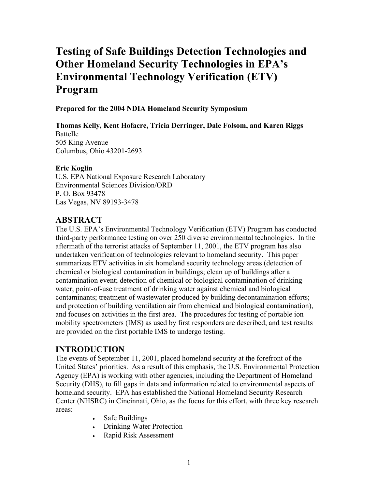# **Testing of Safe Buildings Detection Technologies and Other Homeland Security Technologies in EPA's Environmental Technology Verification (ETV) Program**

**Prepared for the 2004 NDIA Homeland Security Symposium** 

## **Thomas Kelly, Kent Hofacre, Tricia Derringer, Dale Folsom, and Karen Riggs**

Battelle 505 King Avenue Columbus, Ohio 43201-2693

#### **Eric Koglin**

U.S. EPA National Exposure Research Laboratory Environmental Sciences Division/ORD P. O. Box 93478 Las Vegas, NV 89193-3478

#### **ABSTRACT**

The U.S. EPA's Environmental Technology Verification (ETV) Program has conducted third-party performance testing on over 250 diverse environmental technologies. In the aftermath of the terrorist attacks of September 11, 2001, the ETV program has also undertaken verification of technologies relevant to homeland security. This paper summarizes ETV activities in six homeland security technology areas (detection of chemical or biological contamination in buildings; clean up of buildings after a contamination event; detection of chemical or biological contamination of drinking water; point-of-use treatment of drinking water against chemical and biological contaminants; treatment of wastewater produced by building decontamination efforts; and protection of building ventilation air from chemical and biological contamination), and focuses on activities in the first area. The procedures for testing of portable ion mobility spectrometers (IMS) as used by first responders are described, and test results are provided on the first portable IMS to undergo testing.

#### **INTRODUCTION**

The events of September 11, 2001, placed homeland security at the forefront of the United States' priorities. As a result of this emphasis, the U.S. Environmental Protection Agency (EPA) is working with other agencies, including the Department of Homeland Security (DHS), to fill gaps in data and information related to environmental aspects of homeland security. EPA has established the National Homeland Security Research Center (NHSRC) in Cincinnati, Ohio, as the focus for this effort, with three key research areas:

- Safe Buildings
- Drinking Water Protection
- Rapid Risk Assessment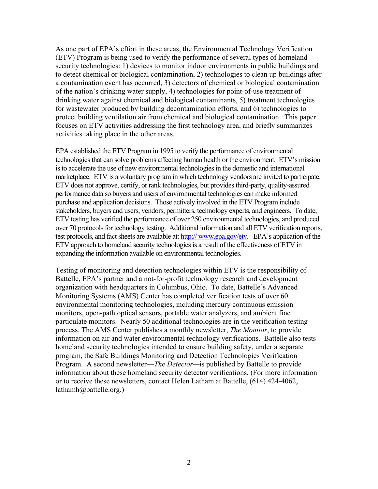As one part of EPA's effort in these areas, the Environmental Technology Verification (ETV) Program is being used to verify the performance of several types of homeland security technologies: 1) devices to monitor indoor environments in public buildings and to detect chemical or biological contamination, 2) technologies to clean up buildings after a contamination event has occurred, 3) detectors of chemical or biological contamination of the nation's drinking water supply, 4) technologies for point-of-use treatment of drinking water against chemical and biological contaminants, 5) treatment technologies for wastewater produced by building decontamination efforts, and 6) technologies to protect building ventilation air from chemical and biological contamination. This paper focuses on ETV activities addressing the first technology area, and briefly summarizes activities taking place in the other areas.

EPA established the ETV Program in 1995 to verify the performance of environmental technologies that can solve problems affecting human health or the environment. ETV's mission is to accelerate the use of new environmental technologies in the domestic and international marketplace. ETV is a voluntary program in which technology vendors are invited to participate. ETV does not approve, certify, or rank technologies, but provides third-party, quality-assured performance data so buyers and users of environmental technologies can make informed purchase and application decisions. Those actively involved in the ETV Program include stakeholders, buyers and users, vendors, permitters, technology experts, and engineers. To date, ETV testing has verified the performance of over 250 environmental technologies, and produced over 70 protocols for technology testing. Additional information and all ETV verification reports, test protocols, and fact sheets are available at: http:// www.epa.gov/etv. EPA's application of the ETV approach to homeland security technologies is a result of the effectiveness of ETV in expanding the information available on environmental technologies.

Testing of monitoring and detection technologies within ETV is the responsibility of Battelle, EPA's partner and a not-for-profit technology research and development organization with headquarters in Columbus, Ohio. To date, Battelle's Advanced Monitoring Systems (AMS) Center has completed verification tests of over 60 environmental monitoring technologies, including mercury continuous emission monitors, open-path optical sensors, portable water analyzers, and ambient fine particulate monitors. Nearly 50 additional technologies are in the verification testing process. The AMS Center publishes a monthly newsletter, *The Monitor*, to provide information on air and water environmental technology verifications. Battelle also tests homeland security technologies intended to ensure building safety, under a separate program, the Safe Buildings Monitoring and Detection Technologies Verification Program. A second newsletter—*The Detector—*is published by Battelle to provide information about these homeland security detector verifications. (For more information or to receive these newsletters, contact Helen Latham at Battelle, (614) 424-4062, lathamh@battelle.org.)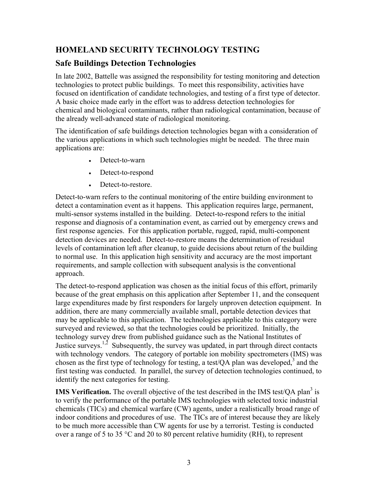## **HOMELAND SECURITY TECHNOLOGY TESTING**

## **Safe Buildings Detection Technologies**

In late 2002, Battelle was assigned the responsibility for testing monitoring and detection technologies to protect public buildings. To meet this responsibility, activities have focused on identification of candidate technologies, and testing of a first type of detector. A basic choice made early in the effort was to address detection technologies for chemical and biological contaminants, rather than radiological contamination, because of the already well-advanced state of radiological monitoring.

The identification of safe buildings detection technologies began with a consideration of the various applications in which such technologies might be needed. The three main applications are:

- Detect-to-warn
- Detect-to-respond
- Detect-to-restore.

Detect-to-warn refers to the continual monitoring of the entire building environment to detect a contamination event as it happens. This application requires large, permanent, multi-sensor systems installed in the building. Detect-to-respond refers to the initial response and diagnosis of a contamination event, as carried out by emergency crews and first response agencies. For this application portable, rugged, rapid, multi-component detection devices are needed. Detect-to-restore means the determination of residual levels of contamination left after cleanup, to guide decisions about return of the building to normal use. In this application high sensitivity and accuracy are the most important requirements, and sample collection with subsequent analysis is the conventional approach.

The detect-to-respond application was chosen as the initial focus of this effort, primarily because of the great emphasis on this application after September 11, and the consequent large expenditures made by first responders for largely unproven detection equipment. In addition, there are many commercially available small, portable detection devices that may be applicable to this application. The technologies applicable to this category were surveyed and reviewed, so that the technologies could be prioritized. Initially, the technology survey drew from published guidance such as the National Institutes of Justice surveys.<sup>1,2</sup> Subsequently, the survey was updated, in part through direct contacts with technology vendors. The category of portable ion mobility spectrometers (IMS) was chosen as the first type of technology for testing, a test/QA plan was developed, $3$  and the first testing was conducted. In parallel, the survey of detection technologies continued, to identify the next categories for testing.

**IMS Verification.** The overall objective of the test described in the IMS test/ $\overline{OA}$  plan<sup>3</sup> is to verify the performance of the portable IMS technologies with selected toxic industrial chemicals (TICs) and chemical warfare (CW) agents, under a realistically broad range of indoor conditions and procedures of use. The TICs are of interest because they are likely to be much more accessible than CW agents for use by a terrorist. Testing is conducted over a range of 5 to 35 °C and 20 to 80 percent relative humidity (RH), to represent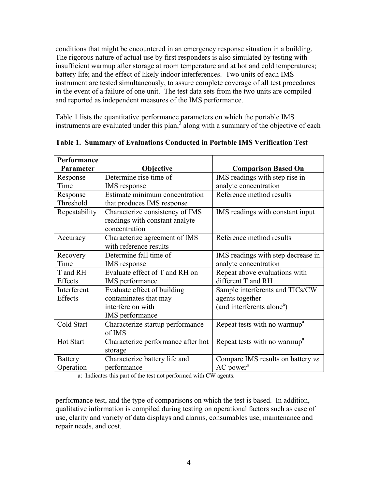conditions that might be encountered in an emergency response situation in a building. The rigorous nature of actual use by first responders is also simulated by testing with insufficient warmup after storage at room temperature and at hot and cold temperatures; battery life; and the effect of likely indoor interferences. Two units of each IMS instrument are tested simultaneously, to assure complete coverage of all test procedures in the event of a failure of one unit. The test data sets from the two units are compiled and reported as independent measures of the IMS performance.

Table 1 lists the quantitative performance parameters on which the portable IMS instruments are evaluated under this plan, $3$  along with a summary of the objective of each

| Performance    |                                    |                                          |
|----------------|------------------------------------|------------------------------------------|
| Parameter      | Objective                          | <b>Comparison Based On</b>               |
| Response       | Determine rise time of             | IMS readings with step rise in           |
| Time           | IMS response                       | analyte concentration                    |
| Response       | Estimate minimum concentration     | Reference method results                 |
| Threshold      | that produces IMS response         |                                          |
| Repeatability  | Characterize consistency of IMS    | IMS readings with constant input         |
|                | readings with constant analyte     |                                          |
|                | concentration                      |                                          |
| Accuracy       | Characterize agreement of IMS      | Reference method results                 |
|                | with reference results             |                                          |
| Recovery       | Determine fall time of             | IMS readings with step decrease in       |
| Time           | IMS response                       | analyte concentration                    |
| T and RH       | Evaluate effect of T and RH on     | Repeat above evaluations with            |
| Effects        | IMS performance                    | different T and RH                       |
| Interferent    | Evaluate effect of building        | Sample interferents and TICs/CW          |
| Effects        | contaminates that may              | agents together                          |
|                | interfere on with                  | (and interferents alone <sup>a</sup> )   |
|                | IMS performance                    |                                          |
| Cold Start     | Characterize startup performance   | Repeat tests with no warmup <sup>a</sup> |
|                | of IMS                             |                                          |
| Hot Start      | Characterize performance after hot | Repeat tests with no warmup <sup>a</sup> |
|                | storage                            |                                          |
| <b>Battery</b> | Characterize battery life and      | Compare IMS results on battery vs        |
| Operation      | performance                        | AC power <sup>a</sup>                    |

**Table 1. Summary of Evaluations Conducted in Portable IMS Verification Test**

a: Indicates this part of the test not performed with CW agents.

performance test, and the type of comparisons on which the test is based. In addition, qualitative information is compiled during testing on operational factors such as ease of use, clarity and variety of data displays and alarms, consumables use, maintenance and repair needs, and cost.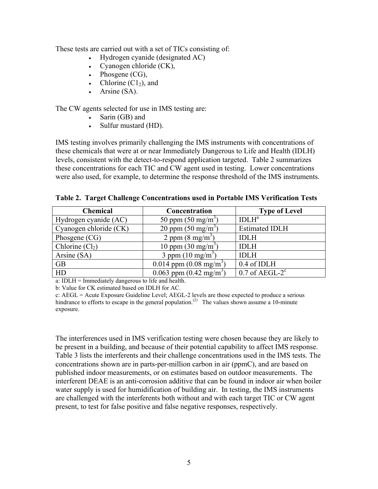These tests are carried out with a set of TICs consisting of:

- Hydrogen cyanide (designated AC)
- Cyanogen chloride (CK),
- Phosgene (CG),
- Chlorine  $(Cl<sub>2</sub>)$ , and
- Arsine (SA).

The CW agents selected for use in IMS testing are:

- Sarin (GB) and
- Sulfur mustard (HD).

IMS testing involves primarily challenging the IMS instruments with concentrations of these chemicals that were at or near Immediately Dangerous to Life and Health (IDLH) levels, consistent with the detect-to-respond application targeted. Table 2 summarizes these concentrations for each TIC and CW agent used in testing. Lower concentrations were also used, for example, to determine the response threshold of the IMS instruments.

| Table 2. Target Challenge Concentrations used in Portable IMS Verification Tests |  |  |  |
|----------------------------------------------------------------------------------|--|--|--|
|                                                                                  |  |  |  |

| <b>Chemical</b>        | Concentration                     | <b>Type of Level</b>          |  |
|------------------------|-----------------------------------|-------------------------------|--|
| Hydrogen cyanide (AC)  | 50 ppm $(50 \text{ mg/m}^3)$      | IDLH <sup>a</sup>             |  |
| Cyanogen chloride (CK) | 20 ppm $(50 \text{ mg/m}^3)$      | <b>Estimated IDLH</b>         |  |
| Phosgene $(CG)$        | 2 ppm $(8 \text{ mg/m}^3)$        | <b>IDLH</b>                   |  |
| Chlorine $(Cl2)$       | 10 ppm $(30 \text{ mg/m}^3)$      | <b>IDLH</b>                   |  |
| Arsine $(SA)$          | 3 ppm $(10 \text{ mg/m}^3)$       | <b>IDLH</b>                   |  |
| <b>GB</b>              | 0.014 ppm $(0.08 \text{ mg/m}^3)$ | 0.4 of IDLH                   |  |
| HD                     | 0.063 ppm $(0.42 \text{ mg/m}^3)$ | $0.7$ of AEGL-2 $\textdegree$ |  |

a: IDLH = Immediately dangerous to life and health.

b: Value for CK estimated based on IDLH for AC.

c: AEGL = Acute Exposure Guideline Level; AEGL-2 levels are those expected to produce a serious hindrance to efforts to escape in the general population.<sup>(2)</sup> The values shown assume a 10-minute exposure.

The interferences used in IMS verification testing were chosen because they are likely to be present in a building, and because of their potential capability to affect IMS response. Table 3 lists the interferents and their challenge concentrations used in the IMS tests. The concentrations shown are in parts-per-million carbon in air (ppmC), and are based on published indoor measurements, or on estimates based on outdoor measurements. The interferent DEAE is an anti-corrosion additive that can be found in indoor air when boiler water supply is used for humidification of building air. In testing, the IMS instruments are challenged with the interferents both without and with each target TIC or CW agent present, to test for false positive and false negative responses, respectively.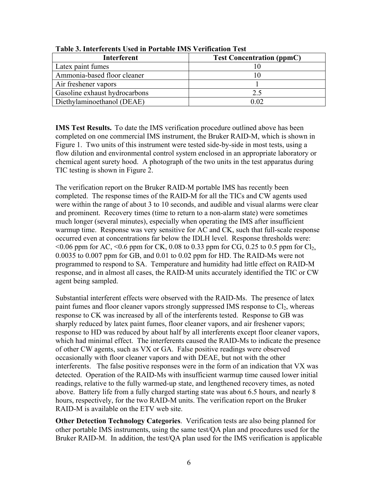| <b>Interferent</b>            | <b>Test Concentration (ppmC)</b> |
|-------------------------------|----------------------------------|
| Latex paint fumes             |                                  |
| Ammonia-based floor cleaner   |                                  |
| Air freshener vapors          |                                  |
| Gasoline exhaust hydrocarbons | 2.5                              |
| Diethylaminoethanol (DEAE)    | በ በ2                             |

**Table 3. Interferents Used in Portable IMS Verification Test**

**IMS Test Results.** To date the IMS verification procedure outlined above has been completed on one commercial IMS instrument, the Bruker RAID-M, which is shown in Figure 1. Two units of this instrument were tested side-by-side in most tests, using a flow dilution and environmental control system enclosed in an appropriate laboratory or chemical agent surety hood. A photograph of the two units in the test apparatus during TIC testing is shown in Figure 2.

The verification report on the Bruker RAID-M portable IMS has recently been completed. The response times of the RAID-M for all the TICs and CW agents used were within the range of about 3 to 10 seconds, and audible and visual alarms were clear and prominent. Recovery times (time to return to a non-alarm state) were sometimes much longer (several minutes), especially when operating the IMS after insufficient warmup time. Response was very sensitive for AC and CK, such that full-scale response occurred even at concentrations far below the IDLH level. Response thresholds were:  $\leq 0.06$  ppm for AC,  $\leq 0.6$  ppm for CK, 0.08 to 0.33 ppm for CG, 0.25 to 0.5 ppm for Cl<sub>2</sub>, 0.0035 to 0.007 ppm for GB, and 0.01 to 0.02 ppm for HD. The RAID-Ms were not programmed to respond to SA. Temperature and humidity had little effect on RAID-M response, and in almost all cases, the RAID-M units accurately identified the TIC or CW agent being sampled.

Substantial interferent effects were observed with the RAID-Ms. The presence of latex paint fumes and floor cleaner vapors strongly suppressed IMS response to Cl<sub>2</sub>, whereas response to CK was increased by all of the interferents tested. Response to GB was sharply reduced by latex paint fumes, floor cleaner vapors, and air freshener vapors; response to HD was reduced by about half by all interferents except floor cleaner vapors, which had minimal effect. The interferents caused the RAID-Ms to indicate the presence of other CW agents, such as VX or GA. False positive readings were observed occasionally with floor cleaner vapors and with DEAE, but not with the other interferents. The false positive responses were in the form of an indication that VX was detected. Operation of the RAID-Ms with insufficient warmup time caused lower initial readings, relative to the fully warmed-up state, and lengthened recovery times, as noted above. Battery life from a fully charged starting state was about 6.5 hours, and nearly 8 hours, respectively, for the two RAID-M units. The verification report on the Bruker RAID-M is available on the ETV web site.

**Other Detection Technology Categories**. Verification tests are also being planned for other portable IMS instruments, using the same test/QA plan and procedures used for the Bruker RAID-M. In addition, the test/QA plan used for the IMS verification is applicable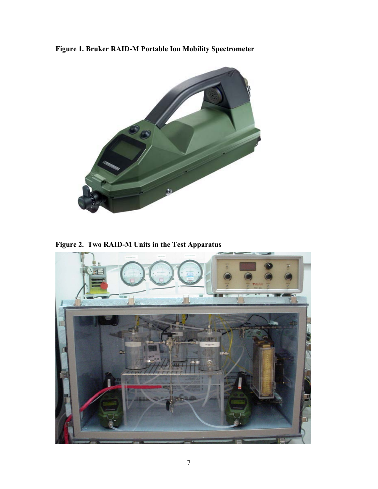**Figure 1. Bruker RAID-M Portable Ion Mobility Spectrometer** 



**Figure 2. Two RAID-M Units in the Test Apparatus**

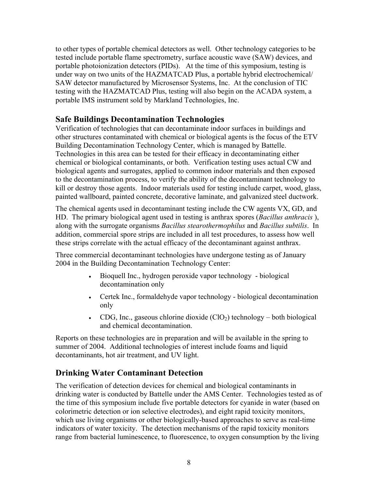to other types of portable chemical detectors as well. Other technology categories to be tested include portable flame spectrometry, surface acoustic wave (SAW) devices, and portable photoionization detectors (PIDs). At the time of this symposium, testing is under way on two units of the HAZMATCAD Plus, a portable hybrid electrochemical/ SAW detector manufactured by Microsensor Systems, Inc. At the conclusion of TIC testing with the HAZMATCAD Plus, testing will also begin on the ACADA system, a portable IMS instrument sold by Markland Technologies, Inc.

#### **Safe Buildings Decontamination Technologies**

Verification of technologies that can decontaminate indoor surfaces in buildings and other structures contaminated with chemical or biological agents is the focus of the ETV Building Decontamination Technology Center, which is managed by Battelle. Technologies in this area can be tested for their efficacy in decontaminating either chemical or biological contaminants, or both. Verification testing uses actual CW and biological agents and surrogates, applied to common indoor materials and then exposed to the decontamination process, to verify the ability of the decontaminant technology to kill or destroy those agents. Indoor materials used for testing include carpet, wood, glass, painted wallboard, painted concrete, decorative laminate, and galvanized steel ductwork.

The chemical agents used in decontaminant testing include the CW agents VX, GD, and HD. The primary biological agent used in testing is anthrax spores (*Bacillus anthracis* ), along with the surrogate organisms *Bacillus stearothermophilus* and *Bacillus subtilis*. In addition, commercial spore strips are included in all test procedures, to assess how well these strips correlate with the actual efficacy of the decontaminant against anthrax.

Three commercial decontaminant technologies have undergone testing as of January 2004 in the Building Decontamination Technology Center:

- Bioquell Inc., hydrogen peroxide vapor technology biological decontamination only
- Certek Inc., formaldehyde vapor technology biological decontamination only
- CDG, Inc., gaseous chlorine dioxide  $(CIO<sub>2</sub>)$  technology both biological and chemical decontamination.

Reports on these technologies are in preparation and will be available in the spring to summer of 2004. Additional technologies of interest include foams and liquid decontaminants, hot air treatment, and UV light.

## **Drinking Water Contaminant Detection**

The verification of detection devices for chemical and biological contaminants in drinking water is conducted by Battelle under the AMS Center. Technologies tested as of the time of this symposium include five portable detectors for cyanide in water (based on colorimetric detection or ion selective electrodes), and eight rapid toxicity monitors, which use living organisms or other biologically-based approaches to serve as real-time indicators of water toxicity. The detection mechanisms of the rapid toxicity monitors range from bacterial luminescence, to fluorescence, to oxygen consumption by the living